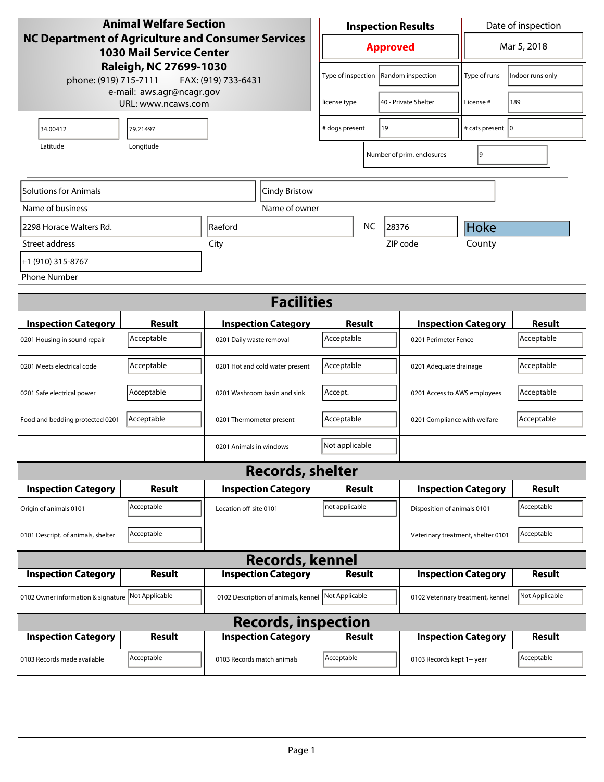| <b>Animal Welfare Section</b><br><b>NC Department of Agriculture and Consumer Services</b><br><b>1030 Mail Service Center</b> |               |                                     | Date of inspection<br><b>Inspection Results</b> |                      |                             |                                    |                  |  |
|-------------------------------------------------------------------------------------------------------------------------------|---------------|-------------------------------------|-------------------------------------------------|----------------------|-----------------------------|------------------------------------|------------------|--|
|                                                                                                                               |               |                                     | <b>Approved</b>                                 |                      |                             | Mar 5, 2018                        |                  |  |
| Raleigh, NC 27699-1030<br>phone: (919) 715-7111<br>FAX: (919) 733-6431                                                        |               |                                     | Type of inspection                              |                      | Random inspection           | Type of runs                       | Indoor runs only |  |
| e-mail: aws.agr@ncagr.gov<br>URL: www.ncaws.com                                                                               |               | license type                        |                                                 | 40 - Private Shelter | License #                   | 189                                |                  |  |
| 34.00412                                                                                                                      | 79.21497      |                                     | # dogs present<br>19                            |                      | # cats present   0          |                                    |                  |  |
| Latitude                                                                                                                      | Longitude     |                                     |                                                 |                      | Number of prim. enclosures  | 9                                  |                  |  |
| <b>Solutions for Animals</b><br>Cindy Bristow                                                                                 |               |                                     |                                                 |                      |                             |                                    |                  |  |
| Name of business                                                                                                              |               | Name of owner                       |                                                 |                      |                             |                                    |                  |  |
| 2298 Horace Walters Rd.                                                                                                       |               | Raeford                             | <b>NC</b><br>28376                              |                      |                             | <b>Hoke</b>                        |                  |  |
| Street address                                                                                                                |               | City                                |                                                 |                      | ZIP code                    | County                             |                  |  |
| +1 (910) 315-8767                                                                                                             |               |                                     |                                                 |                      |                             |                                    |                  |  |
| <b>Phone Number</b>                                                                                                           |               |                                     |                                                 |                      |                             |                                    |                  |  |
| <b>Facilities</b>                                                                                                             |               |                                     |                                                 |                      |                             |                                    |                  |  |
| <b>Inspection Category</b>                                                                                                    | <b>Result</b> | <b>Inspection Category</b>          |                                                 | <b>Result</b>        |                             | <b>Inspection Category</b>         | <b>Result</b>    |  |
| 0201 Housing in sound repair                                                                                                  | Acceptable    | 0201 Daily waste removal            | Acceptable                                      |                      |                             | 0201 Perimeter Fence               |                  |  |
| 0201 Meets electrical code                                                                                                    | Acceptable    | 0201 Hot and cold water present     | Acceptable<br>0201 Adequate drainage            |                      |                             | Acceptable                         |                  |  |
| 0201 Safe electrical power                                                                                                    | Acceptable    | 0201 Washroom basin and sink        | Accept.<br>0201 Access to AWS employees         |                      |                             | Acceptable                         |                  |  |
| Food and bedding protected 0201                                                                                               | Acceptable    | 0201 Thermometer present            | Acceptable<br>0201 Compliance with welfare      |                      |                             | Acceptable                         |                  |  |
|                                                                                                                               |               | 0201 Animals in windows             | Not applicable                                  |                      |                             |                                    |                  |  |
|                                                                                                                               |               | <b>Records, shelter</b>             |                                                 |                      |                             |                                    |                  |  |
| <b>Inspection Category</b>                                                                                                    | Result        | <b>Inspection Category</b>          |                                                 | <b>Result</b>        |                             | <b>Inspection Category</b>         | <b>Result</b>    |  |
| Origin of animals 0101                                                                                                        | Acceptable    | Location off-site 0101              | not applicable                                  |                      | Disposition of animals 0101 |                                    | Acceptable       |  |
| 0101 Descript. of animals, shelter                                                                                            | Acceptable    |                                     |                                                 |                      |                             | Veterinary treatment, shelter 0101 | Acceptable       |  |
| <b>Records, kennel</b>                                                                                                        |               |                                     |                                                 |                      |                             |                                    |                  |  |
| <b>Inspection Category</b>                                                                                                    | <b>Result</b> | <b>Inspection Category</b>          |                                                 | <b>Result</b>        |                             | <b>Inspection Category</b>         | <b>Result</b>    |  |
| 0102 Owner information & signature Not Applicable                                                                             |               | 0102 Description of animals, kennel | Not Applicable                                  |                      |                             | 0102 Veterinary treatment, kennel  | Not Applicable   |  |
| <b>Records, inspection</b>                                                                                                    |               |                                     |                                                 |                      |                             |                                    |                  |  |
| <b>Inspection Category</b>                                                                                                    | <b>Result</b> | <b>Inspection Category</b>          |                                                 | <b>Result</b>        |                             | <b>Inspection Category</b>         | <b>Result</b>    |  |
| 0103 Records made available                                                                                                   | Acceptable    | 0103 Records match animals          | Acceptable                                      |                      | 0103 Records kept 1+ year   |                                    | Acceptable       |  |
|                                                                                                                               |               |                                     |                                                 |                      |                             |                                    |                  |  |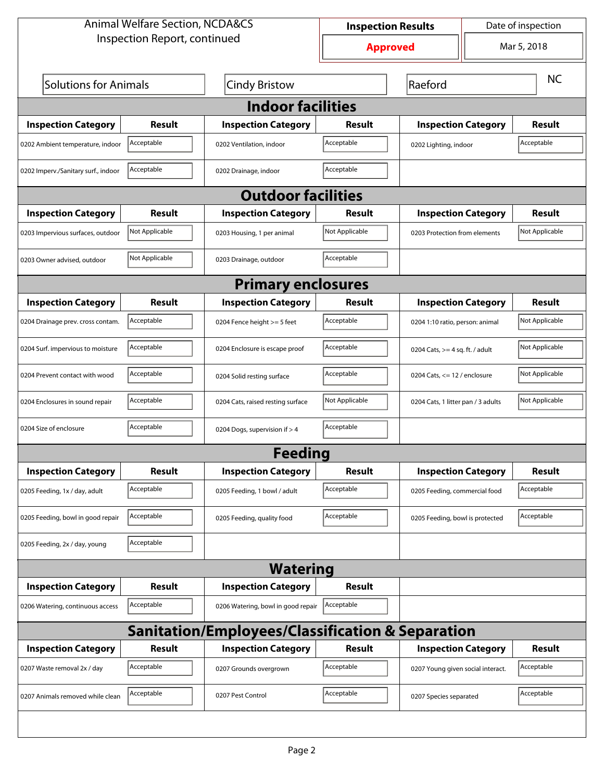| <b>Animal Welfare Section, NCDA&amp;CS</b>                  |                |                                    |                 | Date of inspection<br><b>Inspection Results</b> |                                    |               |  |  |
|-------------------------------------------------------------|----------------|------------------------------------|-----------------|-------------------------------------------------|------------------------------------|---------------|--|--|
| Inspection Report, continued                                |                |                                    | <b>Approved</b> | Mar 5, 2018                                     |                                    |               |  |  |
| <b>Solutions for Animals</b>                                |                | <b>Cindy Bristow</b>               |                 | Raeford                                         |                                    |               |  |  |
| <b>Indoor facilities</b>                                    |                |                                    |                 |                                                 |                                    |               |  |  |
| <b>Inspection Category</b>                                  | Result         | <b>Inspection Category</b>         | Result          | <b>Inspection Category</b>                      |                                    | Result        |  |  |
| 0202 Ambient temperature, indoor                            | Acceptable     | 0202 Ventilation, indoor           | Acceptable      | 0202 Lighting, indoor                           |                                    | Acceptable    |  |  |
| 0202 Imperv./Sanitary surf., indoor                         | Acceptable     | 0202 Drainage, indoor              | Acceptable      |                                                 |                                    |               |  |  |
|                                                             |                | <b>Outdoor facilities</b>          |                 |                                                 |                                    |               |  |  |
| <b>Inspection Category</b>                                  | Result         | <b>Inspection Category</b>         | Result          |                                                 | <b>Inspection Category</b>         |               |  |  |
| 0203 Impervious surfaces, outdoor                           | Not Applicable | 0203 Housing, 1 per animal         | Not Applicable  |                                                 | 0203 Protection from elements      |               |  |  |
| 0203 Owner advised, outdoor                                 | Not Applicable | 0203 Drainage, outdoor             | Acceptable      |                                                 |                                    |               |  |  |
| <b>Primary enclosures</b>                                   |                |                                    |                 |                                                 |                                    |               |  |  |
| <b>Inspection Category</b>                                  | Result         | <b>Inspection Category</b>         | <b>Result</b>   |                                                 | <b>Inspection Category</b>         |               |  |  |
| 0204 Drainage prev. cross contam.                           | Acceptable     | 0204 Fence height >= 5 feet        | Acceptable      |                                                 | 0204 1:10 ratio, person: animal    |               |  |  |
| 0204 Surf. impervious to moisture                           | Acceptable     | 0204 Enclosure is escape proof     | Acceptable      |                                                 | 0204 Cats, $>=$ 4 sq. ft. / adult  |               |  |  |
| 0204 Prevent contact with wood                              | Acceptable     | 0204 Solid resting surface         | Acceptable      |                                                 | 0204 Cats, $<= 12$ / enclosure     |               |  |  |
| 0204 Enclosures in sound repair                             | Acceptable     | 0204 Cats, raised resting surface  | Not Applicable  |                                                 | 0204 Cats, 1 litter pan / 3 adults |               |  |  |
| 0204 Size of enclosure                                      | Acceptable     | 0204 Dogs, supervision if > 4      | Acceptable      |                                                 |                                    |               |  |  |
|                                                             |                | <b>Feeding</b>                     |                 |                                                 |                                    |               |  |  |
| <b>Inspection Category</b>                                  | <b>Result</b>  | <b>Inspection Category</b>         | <b>Result</b>   | <b>Inspection Category</b>                      |                                    | <b>Result</b> |  |  |
| 0205 Feeding, 1x / day, adult                               | Acceptable     | 0205 Feeding, 1 bowl / adult       | Acceptable      | 0205 Feeding, commercial food                   |                                    | Acceptable    |  |  |
| 0205 Feeding, bowl in good repair                           | Acceptable     | 0205 Feeding, quality food         | Acceptable      | 0205 Feeding, bowl is protected                 |                                    | Acceptable    |  |  |
| 0205 Feeding, 2x / day, young                               | Acceptable     |                                    |                 |                                                 |                                    |               |  |  |
| <b>Watering</b>                                             |                |                                    |                 |                                                 |                                    |               |  |  |
| <b>Inspection Category</b>                                  | <b>Result</b>  | <b>Inspection Category</b>         | <b>Result</b>   |                                                 |                                    |               |  |  |
| 0206 Watering, continuous access                            | Acceptable     | 0206 Watering, bowl in good repair | Acceptable      |                                                 |                                    |               |  |  |
| <b>Sanitation/Employees/Classification &amp; Separation</b> |                |                                    |                 |                                                 |                                    |               |  |  |
| <b>Inspection Category</b>                                  | <b>Result</b>  | <b>Inspection Category</b>         | <b>Result</b>   | <b>Inspection Category</b>                      |                                    | <b>Result</b> |  |  |
| 0207 Waste removal 2x / day                                 | Acceptable     | 0207 Grounds overgrown             | Acceptable      | 0207 Young given social interact.               |                                    | Acceptable    |  |  |
| 0207 Animals removed while clean                            | Acceptable     | 0207 Pest Control                  | Acceptable      | 0207 Species separated                          |                                    | Acceptable    |  |  |
|                                                             |                |                                    |                 |                                                 |                                    |               |  |  |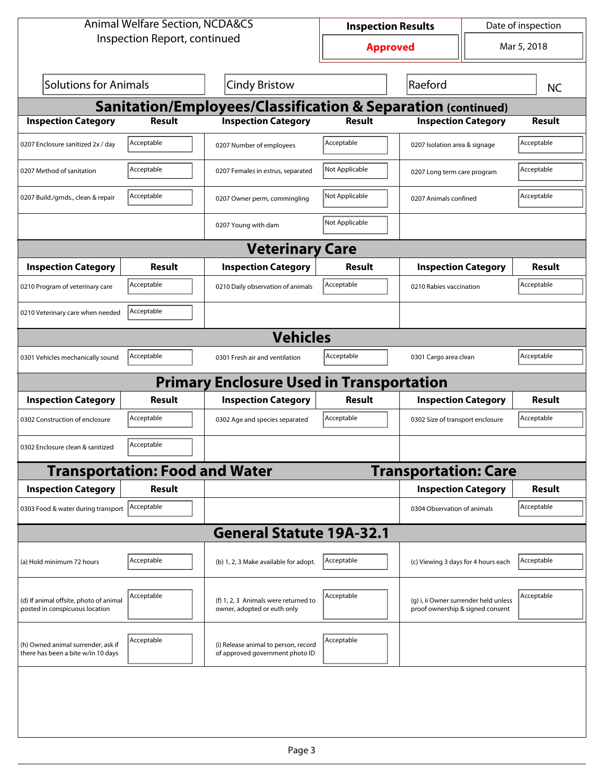| <b>Animal Welfare Section, NCDA&amp;CS</b>                               |                                       |                                                                         |                | Date of inspection<br><b>Inspection Results</b>                           |                             |               |  |  |  |
|--------------------------------------------------------------------------|---------------------------------------|-------------------------------------------------------------------------|----------------|---------------------------------------------------------------------------|-----------------------------|---------------|--|--|--|
| Inspection Report, continued                                             |                                       | <b>Approved</b>                                                         | Mar 5, 2018    |                                                                           |                             |               |  |  |  |
| Solutions for Animals                                                    |                                       | Cindy Bristow                                                           | Raeford        |                                                                           |                             | <b>NC</b>     |  |  |  |
| <b>Sanitation/Employees/Classification &amp; Separation (continued)</b>  |                                       |                                                                         |                |                                                                           |                             |               |  |  |  |
| <b>Inspection Category</b>                                               | <b>Result</b>                         | <b>Inspection Category</b>                                              | <b>Result</b>  | <b>Inspection Category</b>                                                |                             | <b>Result</b> |  |  |  |
| 0207 Enclosure sanitized 2x / day                                        | Acceptable                            | 0207 Number of employees                                                | Acceptable     | 0207 Isolation area & signage                                             |                             | Acceptable    |  |  |  |
| 0207 Method of sanitation                                                | Acceptable                            | 0207 Females in estrus, separated                                       | Not Applicable |                                                                           | 0207 Long term care program |               |  |  |  |
| 0207 Build./grnds., clean & repair                                       | Acceptable                            | 0207 Owner perm, commingling                                            | Not Applicable | 0207 Animals confined                                                     |                             | Acceptable    |  |  |  |
|                                                                          |                                       | 0207 Young with dam                                                     | Not Applicable |                                                                           |                             |               |  |  |  |
|                                                                          |                                       | <b>Veterinary Care</b>                                                  |                |                                                                           |                             |               |  |  |  |
| <b>Inspection Category</b>                                               | Result                                | <b>Inspection Category</b>                                              | Result         | <b>Inspection Category</b>                                                |                             | Result        |  |  |  |
| 0210 Program of veterinary care                                          | Acceptable                            | 0210 Daily observation of animals                                       | Acceptable     | 0210 Rabies vaccination                                                   |                             | Acceptable    |  |  |  |
| 0210 Veterinary care when needed                                         | Acceptable                            |                                                                         |                |                                                                           |                             |               |  |  |  |
|                                                                          | <b>Vehicles</b>                       |                                                                         |                |                                                                           |                             |               |  |  |  |
| 0301 Vehicles mechanically sound                                         | Acceptable                            | 0301 Fresh air and ventilation                                          | Acceptable     | 0301 Cargo area clean                                                     |                             | Acceptable    |  |  |  |
|                                                                          |                                       | <b>Primary Enclosure Used in Transportation</b>                         |                |                                                                           |                             |               |  |  |  |
| <b>Inspection Category</b>                                               | Result                                | <b>Inspection Category</b>                                              | Result         | <b>Inspection Category</b>                                                |                             | Result        |  |  |  |
| 0302 Construction of enclosure                                           | Acceptable                            | 0302 Age and species separated                                          | Acceptable     | 0302 Size of transport enclosure                                          |                             | Acceptable    |  |  |  |
| 0302 Enclosure clean & sanitized                                         | Acceptable                            |                                                                         |                |                                                                           |                             |               |  |  |  |
|                                                                          | <b>Transportation: Food and Water</b> |                                                                         |                | <b>Transportation: Care</b>                                               |                             |               |  |  |  |
| <b>Inspection Category</b>                                               | <b>Result</b>                         |                                                                         |                | <b>Inspection Category</b>                                                |                             | <b>Result</b> |  |  |  |
| 0303 Food & water during transport   Acceptable                          |                                       |                                                                         |                | 0304 Observation of animals                                               |                             | Acceptable    |  |  |  |
|                                                                          |                                       | <b>General Statute 19A-32.1</b>                                         |                |                                                                           |                             |               |  |  |  |
| (a) Hold minimum 72 hours                                                | Acceptable                            | (b) 1, 2, 3 Make available for adopt.                                   | Acceptable     | (c) Viewing 3 days for 4 hours each                                       |                             | Acceptable    |  |  |  |
| (d) If animal offsite, photo of animal<br>posted in conspicuous location | Acceptable                            | (f) 1, 2, 3 Animals were returned to<br>owner, adopted or euth only     | Acceptable     | (g) i, ii Owner surrender held unless<br>proof ownership & signed consent |                             | Acceptable    |  |  |  |
| (h) Owned animal surrender, ask if<br>there has been a bite w/in 10 days | Acceptable                            | (i) Release animal to person, record<br>of approved government photo ID | Acceptable     |                                                                           |                             |               |  |  |  |
|                                                                          |                                       |                                                                         |                |                                                                           |                             |               |  |  |  |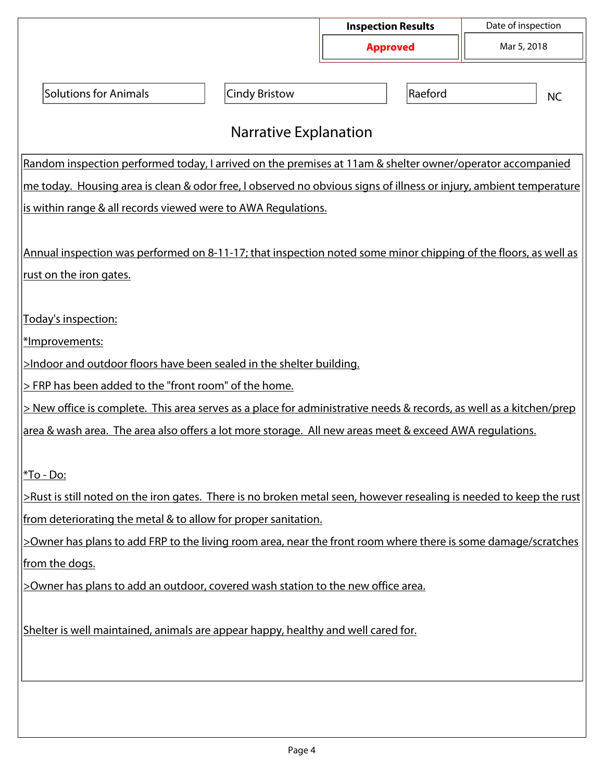|                                                                                                                     |                              | <b>Inspection Results</b> |         | Date of inspection |  |  |
|---------------------------------------------------------------------------------------------------------------------|------------------------------|---------------------------|---------|--------------------|--|--|
|                                                                                                                     |                              | <b>Approved</b>           |         | Mar 5, 2018        |  |  |
|                                                                                                                     |                              |                           |         |                    |  |  |
| <b>Solutions for Animals</b>                                                                                        | <b>Cindy Bristow</b>         |                           | Raeford | <b>NC</b>          |  |  |
|                                                                                                                     |                              |                           |         |                    |  |  |
|                                                                                                                     | <b>Narrative Explanation</b> |                           |         |                    |  |  |
| Random inspection performed today, I arrived on the premises at 11am & shelter owner/operator accompanied           |                              |                           |         |                    |  |  |
| me today. Housing area is clean & odor free, I observed no obvious signs of illness or injury, ambient temperature  |                              |                           |         |                    |  |  |
| is within range & all records viewed were to AWA Regulations.                                                       |                              |                           |         |                    |  |  |
|                                                                                                                     |                              |                           |         |                    |  |  |
| Annual inspection was performed on 8-11-17; that inspection noted some minor chipping of the floors, as well as     |                              |                           |         |                    |  |  |
| <u>rust on the iron gates.</u>                                                                                      |                              |                           |         |                    |  |  |
|                                                                                                                     |                              |                           |         |                    |  |  |
| Today's inspection:                                                                                                 |                              |                           |         |                    |  |  |
| *Improvements:                                                                                                      |                              |                           |         |                    |  |  |
| >Indoor and outdoor floors have been sealed in the shelter building.                                                |                              |                           |         |                    |  |  |
| > FRP has been added to the "front room" of the home.                                                               |                              |                           |         |                    |  |  |
| > New office is complete. This area serves as a place for administrative needs & records, as well as a kitchen/prep |                              |                           |         |                    |  |  |
| area & wash area. The area also offers a lot more storage. All new areas meet & exceed AWA regulations.             |                              |                           |         |                    |  |  |
|                                                                                                                     |                              |                           |         |                    |  |  |
| <u> *To - Do:</u>                                                                                                   |                              |                           |         |                    |  |  |
| >Rust is still noted on the iron gates. There is no broken metal seen, however resealing is needed to keep the rust |                              |                           |         |                    |  |  |
| from deteriorating the metal & to allow for proper sanitation.                                                      |                              |                           |         |                    |  |  |
| >Owner has plans to add FRP to the living room area, near the front room where there is some damage/scratches       |                              |                           |         |                    |  |  |
| from the dogs.                                                                                                      |                              |                           |         |                    |  |  |
| >Owner has plans to add an outdoor, covered wash station to the new office area.                                    |                              |                           |         |                    |  |  |
|                                                                                                                     |                              |                           |         |                    |  |  |
| Shelter is well maintained, animals are appear happy, healthy and well cared for.                                   |                              |                           |         |                    |  |  |
|                                                                                                                     |                              |                           |         |                    |  |  |
|                                                                                                                     |                              |                           |         |                    |  |  |
|                                                                                                                     |                              |                           |         |                    |  |  |
|                                                                                                                     |                              |                           |         |                    |  |  |